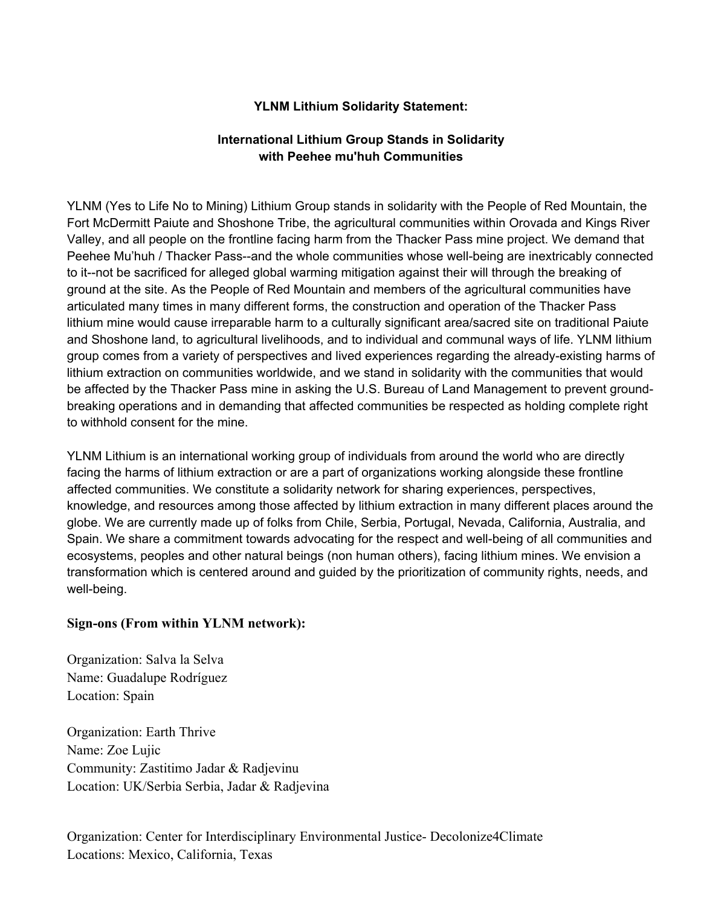## **YLNM Lithium Solidarity Statement:**

## **International Lithium Group Stands in Solidarity with Peehee mu'huh Communities**

YLNM (Yes to Life No to Mining) Lithium Group stands in solidarity with the People of Red Mountain, the Fort McDermitt Paiute and Shoshone Tribe, the agricultural communities within Orovada and Kings River Valley, and all people on the frontline facing harm from the Thacker Pass mine project. We demand that Peehee Mu'huh / Thacker Pass--and the whole communities whose well-being are inextricably connected to it--not be sacrificed for alleged global warming mitigation against their will through the breaking of ground at the site. As the People of Red Mountain and members of the agricultural communities have articulated many times in many different forms, the construction and operation of the Thacker Pass lithium mine would cause irreparable harm to a culturally significant area/sacred site on traditional Paiute and Shoshone land, to agricultural livelihoods, and to individual and communal ways of life. YLNM lithium group comes from a variety of perspectives and lived experiences regarding the already-existing harms of lithium extraction on communities worldwide, and we stand in solidarity with the communities that would be affected by the Thacker Pass mine in asking the U.S. Bureau of Land Management to prevent groundbreaking operations and in demanding that affected communities be respected as holding complete right to withhold consent for the mine.

YLNM Lithium is an international working group of individuals from around the world who are directly facing the harms of lithium extraction or are a part of organizations working alongside these frontline affected communities. We constitute a solidarity network for sharing experiences, perspectives, knowledge, and resources among those affected by lithium extraction in many different places around the globe. We are currently made up of folks from Chile, Serbia, Portugal, Nevada, California, Australia, and Spain. We share a commitment towards advocating for the respect and well-being of all communities and ecosystems, peoples and other natural beings (non human others), facing lithium mines. We envision a transformation which is centered around and guided by the prioritization of community rights, needs, and well-being.

## **Sign-ons (From within YLNM network):**

Organization: Salva la Selva Name: Guadalupe Rodríguez Location: Spain

Organization: Earth Thrive Name: Zoe Lujic Community: Zastitimo Jadar & Radjevinu Location: UK/Serbia Serbia, Jadar & Radjevina

Organization: Center for Interdisciplinary Environmental Justice- Decolonize4Climate Locations: Mexico, California, Texas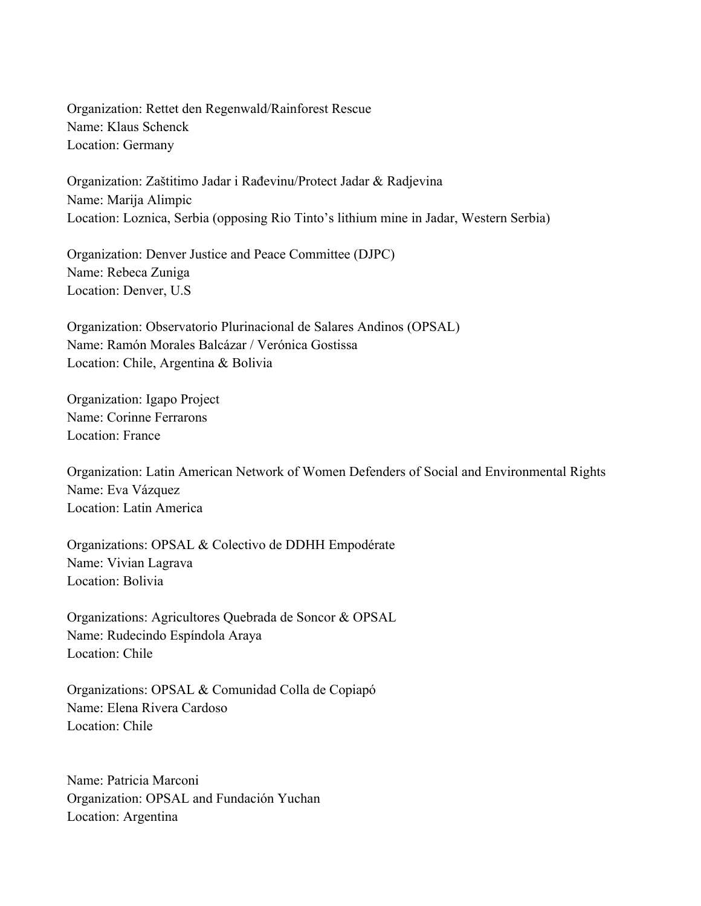Organization: Rettet den Regenwald/Rainforest Rescue Name: Klaus Schenck Location: Germany

Organization: Zaštitimo Jadar i Rađevinu/Protect Jadar & Radjevina Name: Marija Alimpic Location: Loznica, Serbia (opposing Rio Tinto's lithium mine in Jadar, Western Serbia)

Organization: Denver Justice and Peace Committee (DJPC) Name: Rebeca Zuniga Location: Denver, U.S

Organization: Observatorio Plurinacional de Salares Andinos (OPSAL) Name: Ramón Morales Balcázar / Verónica Gostissa Location: Chile, Argentina & Bolivia

Organization: Igapo Project Name: Corinne Ferrarons Location: France

Organization: Latin American Network of Women Defenders of Social and Environmental Rights Name: Eva Vázquez Location: Latin America

Organizations: OPSAL & Colectivo de DDHH Empodérate Name: Vivian Lagrava Location: Bolivia

Organizations: Agricultores Quebrada de Soncor & OPSAL Name: Rudecindo Espíndola Araya Location: Chile

Organizations: OPSAL & Comunidad Colla de Copiapó Name: Elena Rivera Cardoso Location: Chile

Name: Patricia Marconi Organization: OPSAL and Fundación Yuchan Location: Argentina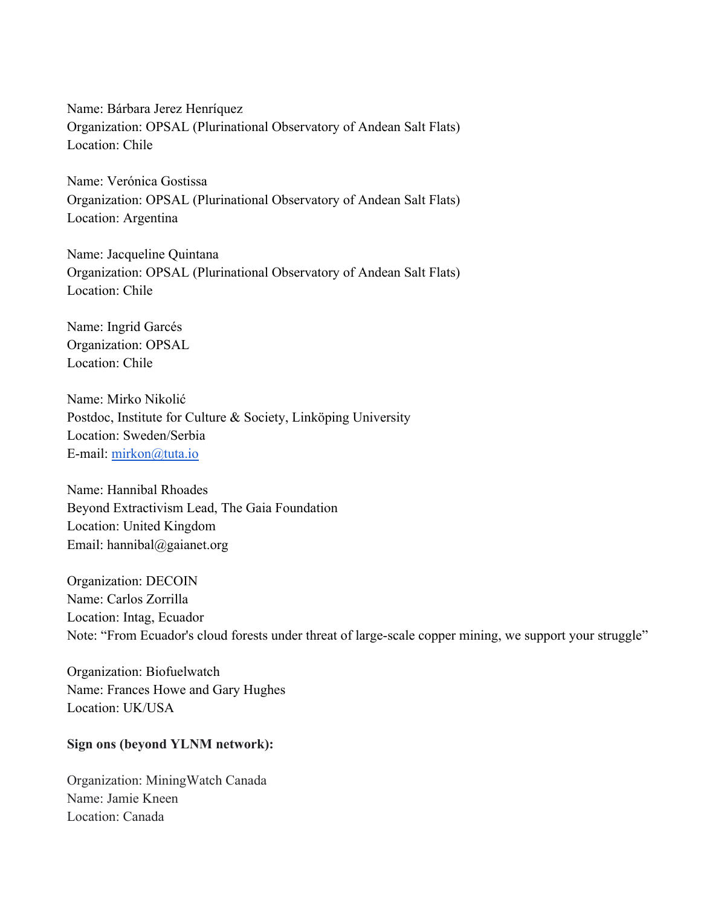Name: Bárbara Jerez Henríquez Organization: OPSAL (Plurinational Observatory of Andean Salt Flats) Location: Chile

Name: Verónica Gostissa Organization: OPSAL (Plurinational Observatory of Andean Salt Flats) Location: Argentina

Name: Jacqueline Quintana Organization: OPSAL (Plurinational Observatory of Andean Salt Flats) Location: Chile

Name: Ingrid Garcés Organization: OPSAL Location: Chile

Name: Mirko Nikolić Postdoc, Institute for Culture & Society, Linköping University Location: Sweden/Serbia E-mail: mirkon@tuta.io

Name: Hannibal Rhoades Beyond Extractivism Lead, The Gaia Foundation Location: United Kingdom Email: hannibal@gaianet.org

Organization: DECOIN Name: Carlos Zorrilla Location: Intag, Ecuador Note: "From Ecuador's cloud forests under threat of large-scale copper mining, we support your struggle"

Organization: Biofuelwatch Name: Frances Howe and Gary Hughes Location: UK/USA

## **Sign ons (beyond YLNM network):**

Organization: MiningWatch Canada Name: Jamie Kneen Location: Canada